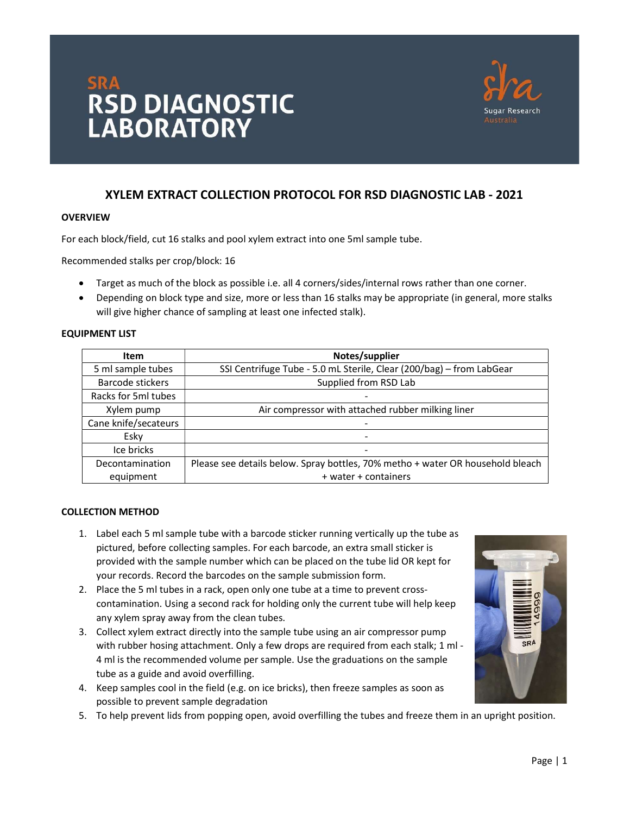



# XYLEM EXTRACT COLLECTION PROTOCOL FOR RSD DIAGNOSTIC LAB - 2021

## **OVERVIEW**

For each block/field, cut 16 stalks and pool xylem extract into one 5ml sample tube.

Recommended stalks per crop/block: 16

- Target as much of the block as possible i.e. all 4 corners/sides/internal rows rather than one corner.
- Depending on block type and size, more or less than 16 stalks may be appropriate (in general, more stalks will give higher chance of sampling at least one infected stalk).

## EQUIPMENT LIST

| <b>Item</b>          | Notes/supplier                                                                 |  |
|----------------------|--------------------------------------------------------------------------------|--|
| 5 ml sample tubes    | SSI Centrifuge Tube - 5.0 mL Sterile, Clear (200/bag) - from LabGear           |  |
| Barcode stickers     | Supplied from RSD Lab                                                          |  |
| Racks for 5ml tubes  |                                                                                |  |
| Xylem pump           | Air compressor with attached rubber milking liner                              |  |
| Cane knife/secateurs | -                                                                              |  |
| Esky                 |                                                                                |  |
| Ice bricks           | ۰                                                                              |  |
| Decontamination      | Please see details below. Spray bottles, 70% metho + water OR household bleach |  |
| equipment            | + water + containers                                                           |  |

## COLLECTION METHOD

- 1. Label each 5 ml sample tube with a barcode sticker running vertically up the tube as pictured, before collecting samples. For each barcode, an extra small sticker is provided with the sample number which can be placed on the tube lid OR kept for your records. Record the barcodes on the sample submission form.
- 2. Place the 5 ml tubes in a rack, open only one tube at a time to prevent crosscontamination. Using a second rack for holding only the current tube will help keep any xylem spray away from the clean tubes.
- 3. Collect xylem extract directly into the sample tube using an air compressor pump with rubber hosing attachment. Only a few drops are required from each stalk; 1 ml - 4 ml is the recommended volume per sample. Use the graduations on the sample tube as a guide and avoid overfilling.
- 4. Keep samples cool in the field (e.g. on ice bricks), then freeze samples as soon as possible to prevent sample degradation
- 5. To help prevent lids from popping open, avoid overfilling the tubes and freeze them in an upright position.

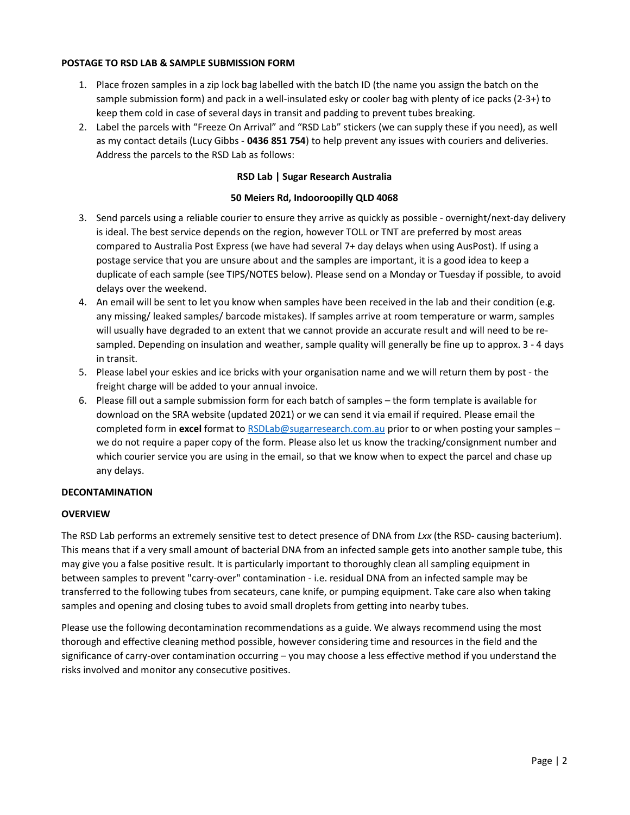## POSTAGE TO RSD LAB & SAMPLE SUBMISSION FORM

- 1. Place frozen samples in a zip lock bag labelled with the batch ID (the name you assign the batch on the sample submission form) and pack in a well-insulated esky or cooler bag with plenty of ice packs (2-3+) to keep them cold in case of several days in transit and padding to prevent tubes breaking.
- 2. Label the parcels with "Freeze On Arrival" and "RSD Lab" stickers (we can supply these if you need), as well as my contact details (Lucy Gibbs - 0436 851 754) to help prevent any issues with couriers and deliveries. Address the parcels to the RSD Lab as follows:

# RSD Lab | Sugar Research Australia

## 50 Meiers Rd, Indooroopilly QLD 4068

- 3. Send parcels using a reliable courier to ensure they arrive as quickly as possible overnight/next-day delivery is ideal. The best service depends on the region, however TOLL or TNT are preferred by most areas compared to Australia Post Express (we have had several 7+ day delays when using AusPost). If using a postage service that you are unsure about and the samples are important, it is a good idea to keep a duplicate of each sample (see TIPS/NOTES below). Please send on a Monday or Tuesday if possible, to avoid delays over the weekend.
- 4. An email will be sent to let you know when samples have been received in the lab and their condition (e.g. any missing/ leaked samples/ barcode mistakes). If samples arrive at room temperature or warm, samples will usually have degraded to an extent that we cannot provide an accurate result and will need to be resampled. Depending on insulation and weather, sample quality will generally be fine up to approx. 3 - 4 days in transit.
- 5. Please label your eskies and ice bricks with your organisation name and we will return them by post the freight charge will be added to your annual invoice.
- 6. Please fill out a sample submission form for each batch of samples the form template is available for download on the SRA website (updated 2021) or we can send it via email if required. Please email the completed form in excel format to RSDLab@sugarresearch.com.au prior to or when posting your samples – we do not require a paper copy of the form. Please also let us know the tracking/consignment number and which courier service you are using in the email, so that we know when to expect the parcel and chase up any delays.

## DECONTAMINATION

## **OVERVIEW**

The RSD Lab performs an extremely sensitive test to detect presence of DNA from Lxx (the RSD- causing bacterium). This means that if a very small amount of bacterial DNA from an infected sample gets into another sample tube, this may give you a false positive result. It is particularly important to thoroughly clean all sampling equipment in between samples to prevent "carry-over" contamination - i.e. residual DNA from an infected sample may be transferred to the following tubes from secateurs, cane knife, or pumping equipment. Take care also when taking samples and opening and closing tubes to avoid small droplets from getting into nearby tubes.

Please use the following decontamination recommendations as a guide. We always recommend using the most thorough and effective cleaning method possible, however considering time and resources in the field and the significance of carry-over contamination occurring – you may choose a less effective method if you understand the risks involved and monitor any consecutive positives.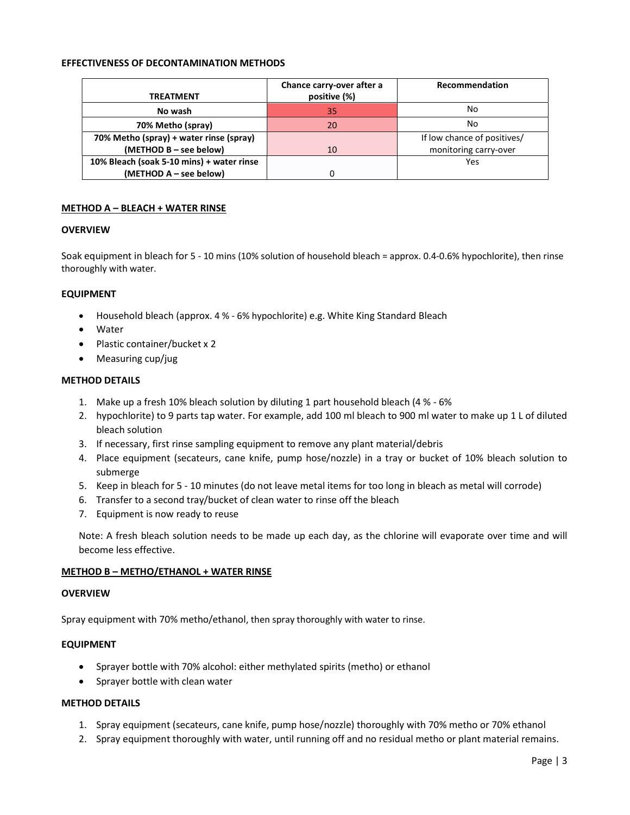## EFFECTIVENESS OF DECONTAMINATION METHODS

|                                           | Chance carry-over after a | Recommendation              |
|-------------------------------------------|---------------------------|-----------------------------|
| TREATMENT                                 | positive (%)              |                             |
| No wash                                   | 35                        | No                          |
| 70% Metho (spray)                         | 20                        | No                          |
| 70% Metho (spray) + water rinse (spray)   |                           | If low chance of positives/ |
| (METHOD B - see below)                    | 10                        | monitoring carry-over       |
| 10% Bleach (soak 5-10 mins) + water rinse |                           | Yes                         |
| (METHOD A - see below)                    |                           |                             |

## METHOD A – BLEACH + WATER RINSE

#### **OVERVIEW**

Soak equipment in bleach for 5 - 10 mins (10% solution of household bleach = approx. 0.4-0.6% hypochlorite), then rinse thoroughly with water.

#### EQUIPMENT

- Household bleach (approx. 4 % 6% hypochlorite) e.g. White King Standard Bleach
- Water
- Plastic container/bucket x 2
- Measuring cup/jug

#### METHOD DETAILS

- 1. Make up a fresh 10% bleach solution by diluting 1 part household bleach (4 % 6%
- 2. hypochlorite) to 9 parts tap water. For example, add 100 ml bleach to 900 ml water to make up 1 L of diluted bleach solution
- 3. If necessary, first rinse sampling equipment to remove any plant material/debris
- 4. Place equipment (secateurs, cane knife, pump hose/nozzle) in a tray or bucket of 10% bleach solution to submerge
- 5. Keep in bleach for 5 10 minutes (do not leave metal items for too long in bleach as metal will corrode)
- 6. Transfer to a second tray/bucket of clean water to rinse off the bleach
- 7. Equipment is now ready to reuse

Note: A fresh bleach solution needs to be made up each day, as the chlorine will evaporate over time and will become less effective.

## METHOD B – METHO/ETHANOL + WATER RINSE

#### **OVERVIEW**

Spray equipment with 70% metho/ethanol, then spray thoroughly with water to rinse.

#### EQUIPMENT

- Sprayer bottle with 70% alcohol: either methylated spirits (metho) or ethanol
- Sprayer bottle with clean water

#### METHOD DETAILS

- 1. Spray equipment (secateurs, cane knife, pump hose/nozzle) thoroughly with 70% metho or 70% ethanol
- 2. Spray equipment thoroughly with water, until running off and no residual metho or plant material remains.